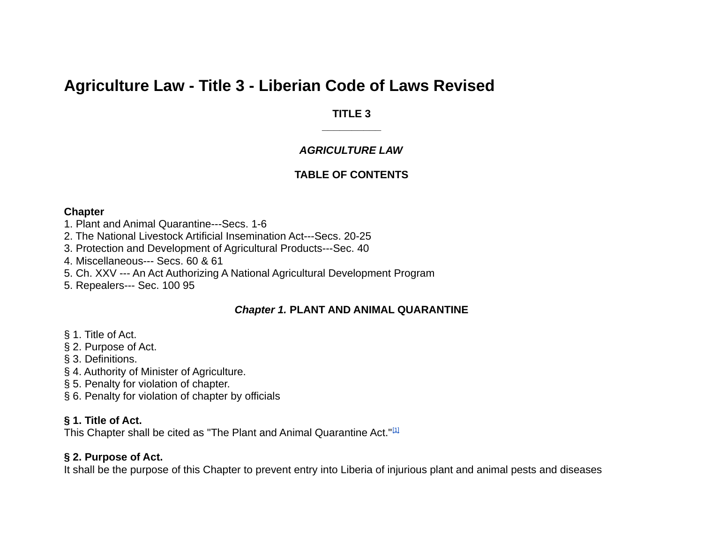# **Agriculture Law - Title 3 - Liberian Code of Laws Revised**

## **TITLE 3 \_\_\_\_\_\_\_\_\_\_**

## *AGRICULTURE LAW*

# **TABLE OF CONTENTS**

#### **Chapter**

- 1. Plant and Animal Quarantine---Secs. 1-6
- 2. The National Livestock Artificial Insemination Act---Secs. 20-25
- 3. Protection and Development of Agricultural Products---Sec. 40
- 4. Miscellaneous--- Secs. 60 & 61
- 5. Ch. XXV --- An Act Authorizing A National Agricultural Development Program
- 5. Repealers--- Sec. 100 95

# *Chapter 1.* **PLANT AND ANIMAL QUARANTINE**

- § 1. Title of Act.
- § 2. Purpose of Act.
- § 3. Definitions.
- § 4. Authority of Minister of Agriculture.
- § 5. Penalty for violation of chapter.
- § 6. Penalty for violation of chapter by officials

# **§ 1. Title of Act.**

This Chapter shall be cited as "The Plant and Animal Quarantine Act."[\[1\]](http://liberlii.org/lr/legis/codes/alt3lcolr448/#fn1)

# **§ 2. Purpose of Act.**

It shall be the purpose of this Chapter to prevent entry into Liberia of injurious plant and animal pests and diseases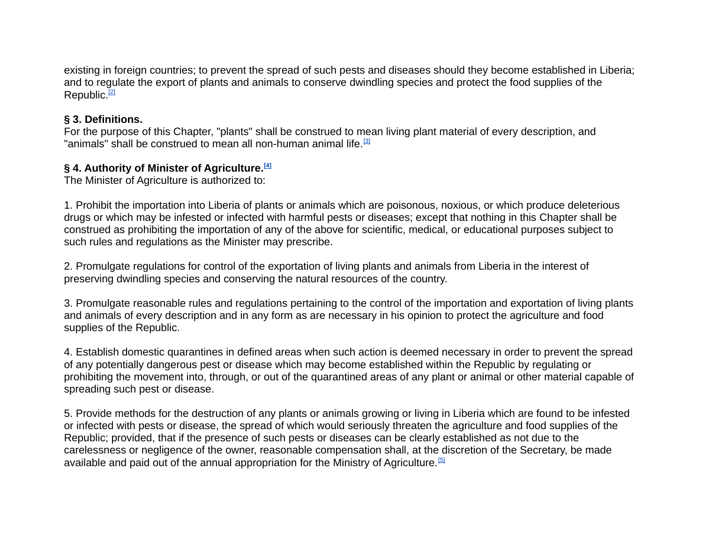existing in foreign countries; to prevent the spread of such pests and diseases should they become established in Liberia; and to regulate the export of plants and animals to conserve dwindling species and protect the food supplies of the Republic.<sup>[\[2\]](http://liberlii.org/lr/legis/codes/alt3lcolr448/#fn2)</sup>

## **§ 3. Definitions.**

For the purpose of this Chapter, "plants" shall be construed to mean living plant material of every description, and "animals" shall be construed to mean all non-human animal life.<sup>[\[3\]](http://liberlii.org/lr/legis/codes/alt3lcolr448/#fn3)</sup>

# **§ 4. Authority of Minister of Agriculture.[\[4\]](http://liberlii.org/lr/legis/codes/alt3lcolr448/#fn4)**

The Minister of Agriculture is authorized to:

1. Prohibit the importation into Liberia of plants or animals which are poisonous, noxious, or which produce deleterious drugs or which may be infested or infected with harmful pests or diseases; except that nothing in this Chapter shall be construed as prohibiting the importation of any of the above for scientific, medical, or educational purposes subject to such rules and regulations as the Minister may prescribe.

2. Promulgate regulations for control of the exportation of living plants and animals from Liberia in the interest of preserving dwindling species and conserving the natural resources of the country.

3. Promulgate reasonable rules and regulations pertaining to the control of the importation and exportation of living plants and animals of every description and in any form as are necessary in his opinion to protect the agriculture and food supplies of the Republic.

4. Establish domestic quarantines in defined areas when such action is deemed necessary in order to prevent the spread of any potentially dangerous pest or disease which may become established within the Republic by regulating or prohibiting the movement into, through, or out of the quarantined areas of any plant or animal or other material capable of spreading such pest or disease.

5. Provide methods for the destruction of any plants or animals growing or living in Liberia which are found to be infested or infected with pests or disease, the spread of which would seriously threaten the agriculture and food supplies of the Republic; provided, that if the presence of such pests or diseases can be clearly established as not due to the carelessness or negligence of the owner, reasonable compensation shall, at the discretion of the Secretary, be made available and paid out of the annual appropriation for the Ministry of Agriculture.<sup>[\[5\]](http://liberlii.org/lr/legis/codes/alt3lcolr448/#fn5)</sup>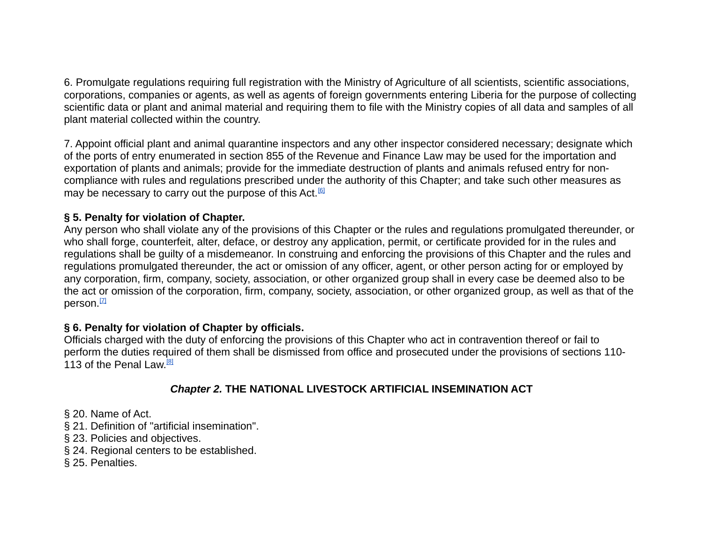6. Promulgate regulations requiring full registration with the Ministry of Agriculture of all scientists, scientific associations, corporations, companies or agents, as well as agents of foreign governments entering Liberia for the purpose of collecting scientific data or plant and animal material and requiring them to file with the Ministry copies of all data and samples of all plant material collected within the country.

7. Appoint official plant and animal quarantine inspectors and any other inspector considered necessary; designate which of the ports of entry enumerated in section 855 of the Revenue and Finance Law may be used for the importation and exportation of plants and animals; provide for the immediate destruction of plants and animals refused entry for noncompliance with rules and regulations prescribed under the authority of this Chapter; and take such other measures as may be necessary to carry out the purpose of this Act.<sup>[\[6\]](http://liberlii.org/lr/legis/codes/alt3lcolr448/#fn6)</sup>

# **§ 5. Penalty for violation of Chapter.**

Any person who shall violate any of the provisions of this Chapter or the rules and regulations promulgated thereunder, or who shall forge, counterfeit, alter, deface, or destroy any application, permit, or certificate provided for in the rules and regulations shall be guilty of a misdemeanor. In construing and enforcing the provisions of this Chapter and the rules and regulations promulgated thereunder, the act or omission of any officer, agent, or other person acting for or employed by any corporation, firm, company, society, association, or other organized group shall in every case be deemed also to be the act or omission of the corporation, firm, company, society, association, or other organized group, as well as that of the person.<sup>[\[7\]](http://liberlii.org/lr/legis/codes/alt3lcolr448/#fn7)</sup>

## **§ 6. Penalty for violation of Chapter by officials.**

Officials charged with the duty of enforcing the provisions of this Chapter who act in contravention thereof or fail to perform the duties required of them shall be dismissed from office and prosecuted under the provisions of sections 110- 113 of the Penal Law.<sup>[\[8\]](http://liberlii.org/lr/legis/codes/alt3lcolr448/#fn8)</sup>

## *Chapter 2.* **THE NATIONAL LIVESTOCK ARTIFICIAL INSEMINATION ACT**

- § 20. Name of Act.
- § 21. Definition of "artificial insemination".
- § 23. Policies and objectives.
- § 24. Regional centers to be established.
- § 25. Penalties.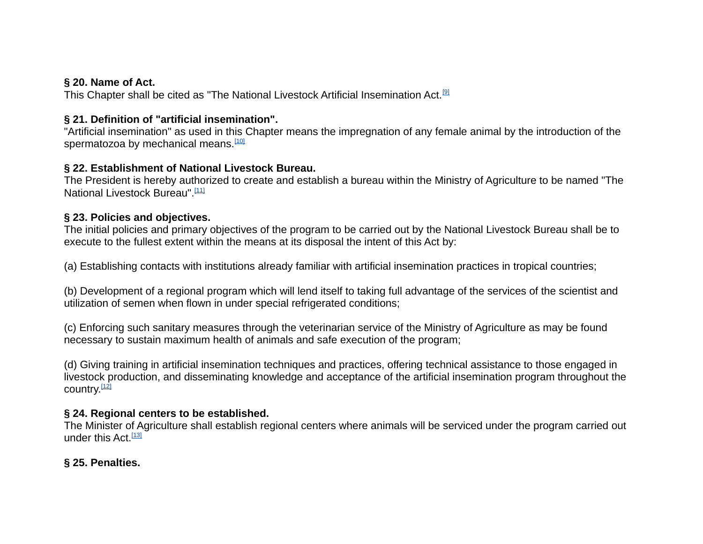## **§ 20. Name of Act.**

This Chapter shall be cited as "The National Livestock Artificial Insemination Act.[\[9\]](http://liberlii.org/lr/legis/codes/alt3lcolr448/#fn9)

# **§ 21. Definition of "artificial insemination".**

"Artificial insemination" as used in this Chapter means the impregnation of any female animal by the introduction of the spermatozoa by mechanical means.<sup>[\[10\]](http://liberlii.org/lr/legis/codes/alt3lcolr448/#fn10)</sup>

## **§ 22. Establishment of National Livestock Bureau.**

The President is hereby authorized to create and establish a bureau within the Ministry of Agriculture to be named "The National Livestock Bureau".<sup>[\[11\]](http://liberlii.org/lr/legis/codes/alt3lcolr448/#fn11)</sup>

## **§ 23. Policies and objectives.**

The initial policies and primary objectives of the program to be carried out by the National Livestock Bureau shall be to execute to the fullest extent within the means at its disposal the intent of this Act by:

(a) Establishing contacts with institutions already familiar with artificial insemination practices in tropical countries;

(b) Development of a regional program which will lend itself to taking full advantage of the services of the scientist and utilization of semen when flown in under special refrigerated conditions;

(c) Enforcing such sanitary measures through the veterinarian service of the Ministry of Agriculture as may be found necessary to sustain maximum health of animals and safe execution of the program;

(d) Giving training in artificial insemination techniques and practices, offering technical assistance to those engaged in livestock production, and disseminating knowledge and acceptance of the artificial insemination program throughout the country.<sup>[\[12\]](http://liberlii.org/lr/legis/codes/alt3lcolr448/#fn12)</sup>

# **§ 24. Regional centers to be established.**

The Minister of Agriculture shall establish regional centers where animals will be serviced under the program carried out under this Act.  $[13]$ 

# **§ 25. Penalties.**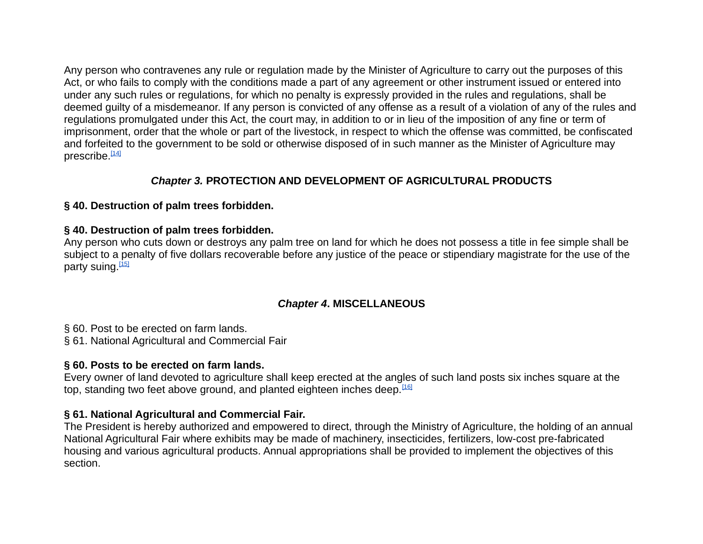Any person who contravenes any rule or regulation made by the Minister of Agriculture to carry out the purposes of this Act, or who fails to comply with the conditions made a part of any agreement or other instrument issued or entered into under any such rules or regulations, for which no penalty is expressly provided in the rules and regulations, shall be deemed guilty of a misdemeanor. If any person is convicted of any offense as a result of a violation of any of the rules and regulations promulgated under this Act, the court may, in addition to or in lieu of the imposition of any fine or term of imprisonment, order that the whole or part of the livestock, in respect to which the offense was committed, be confiscated and forfeited to the government to be sold or otherwise disposed of in such manner as the Minister of Agriculture may prescribe. $[14]$ 

# *Chapter 3.* **PROTECTION AND DEVELOPMENT OF AGRICULTURAL PRODUCTS**

## **§ 40. Destruction of palm trees forbidden.**

## **§ 40. Destruction of palm trees forbidden.**

Any person who cuts down or destroys any palm tree on land for which he does not possess a title in fee simple shall be subject to a penalty of five dollars recoverable before any justice of the peace or stipendiary magistrate for the use of the party suing.<sup>[\[15\]](http://liberlii.org/lr/legis/codes/alt3lcolr448/#fn15)</sup>

# *Chapter 4***. MISCELLANEOUS**

§ 60. Post to be erected on farm lands.

§ 61. National Agricultural and Commercial Fair

# **§ 60. Posts to be erected on farm lands.**

Every owner of land devoted to agriculture shall keep erected at the angles of such land posts six inches square at the top, standing two feet above ground, and planted eighteen inches deep.  $[16]$ 

# **§ 61. National Agricultural and Commercial Fair.**

The President is hereby authorized and empowered to direct, through the Ministry of Agriculture, the holding of an annual National Agricultural Fair where exhibits may be made of machinery, insecticides, fertilizers, low-cost pre-fabricated housing and various agricultural products. Annual appropriations shall be provided to implement the objectives of this section.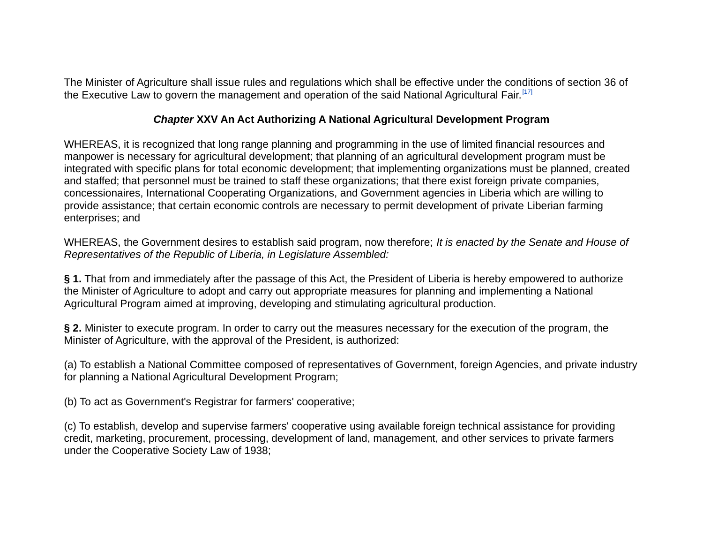The Minister of Agriculture shall issue rules and regulations which shall be effective under the conditions of section 36 of the Executive Law to govern the management and operation of the said National Agricultural Fair.<sup>[\[17\]](http://liberlii.org/lr/legis/codes/alt3lcolr448/#fn17)</sup>

## *Chapter* **XXV An Act Authorizing A National Agricultural Development Program**

WHEREAS, it is recognized that long range planning and programming in the use of limited financial resources and manpower is necessary for agricultural development; that planning of an agricultural development program must be integrated with specific plans for total economic development; that implementing organizations must be planned, created and staffed; that personnel must be trained to staff these organizations; that there exist foreign private companies, concessionaires, International Cooperating Organizations, and Government agencies in Liberia which are willing to provide assistance; that certain economic controls are necessary to permit development of private Liberian farming enterprises; and

WHEREAS, the Government desires to establish said program, now therefore; *It is enacted by the Senate and House of Representatives of the Republic of Liberia, in Legislature Assembled:*

**§ 1.** That from and immediately after the passage of this Act, the President of Liberia is hereby empowered to authorize the Minister of Agriculture to adopt and carry out appropriate measures for planning and implementing a National Agricultural Program aimed at improving, developing and stimulating agricultural production.

**§ 2.** Minister to execute program. In order to carry out the measures necessary for the execution of the program, the Minister of Agriculture, with the approval of the President, is authorized:

(a) To establish a National Committee composed of representatives of Government, foreign Agencies, and private industry for planning a National Agricultural Development Program;

(b) To act as Government's Registrar for farmers' cooperative;

(c) To establish, develop and supervise farmers' cooperative using available foreign technical assistance for providing credit, marketing, procurement, processing, development of land, management, and other services to private farmers under the Cooperative Society Law of 1938;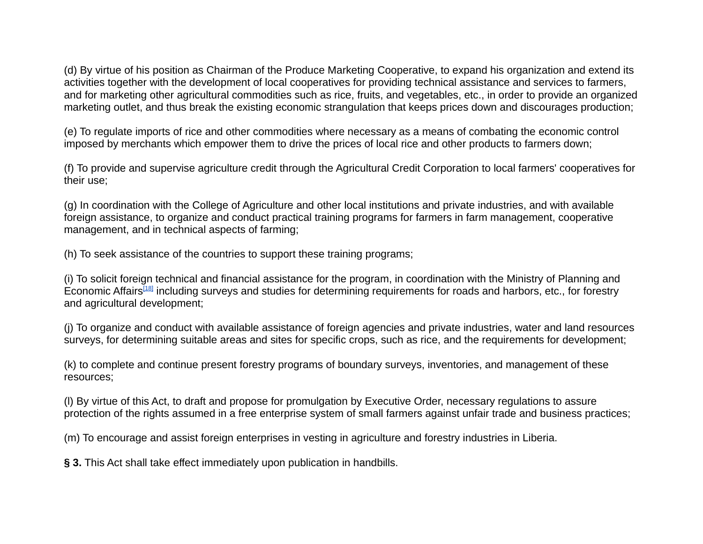(d) By virtue of his position as Chairman of the Produce Marketing Cooperative, to expand his organization and extend its activities together with the development of local cooperatives for providing technical assistance and services to farmers, and for marketing other agricultural commodities such as rice, fruits, and vegetables, etc., in order to provide an organized marketing outlet, and thus break the existing economic strangulation that keeps prices down and discourages production;

(e) To regulate imports of rice and other commodities where necessary as a means of combating the economic control imposed by merchants which empower them to drive the prices of local rice and other products to farmers down;

(f) To provide and supervise agriculture credit through the Agricultural Credit Corporation to local farmers' cooperatives for their use;

(g) In coordination with the College of Agriculture and other local institutions and private industries, and with available foreign assistance, to organize and conduct practical training programs for farmers in farm management, cooperative management, and in technical aspects of farming;

(h) To seek assistance of the countries to support these training programs;

(i) To solicit foreign technical and financial assistance for the program, in coordination with the Ministry of Planning and Economic Affairs<sup>[\[18\]](http://liberlii.org/lr/legis/codes/alt3lcolr448/#fn18)</sup> including surveys and studies for determining requirements for roads and harbors, etc., for forestry and agricultural development;

(j) To organize and conduct with available assistance of foreign agencies and private industries, water and land resources surveys, for determining suitable areas and sites for specific crops, such as rice, and the requirements for development;

(k) to complete and continue present forestry programs of boundary surveys, inventories, and management of these resources;

(l) By virtue of this Act, to draft and propose for promulgation by Executive Order, necessary regulations to assure protection of the rights assumed in a free enterprise system of small farmers against unfair trade and business practices;

(m) To encourage and assist foreign enterprises in vesting in agriculture and forestry industries in Liberia.

**§ 3.** This Act shall take effect immediately upon publication in handbills.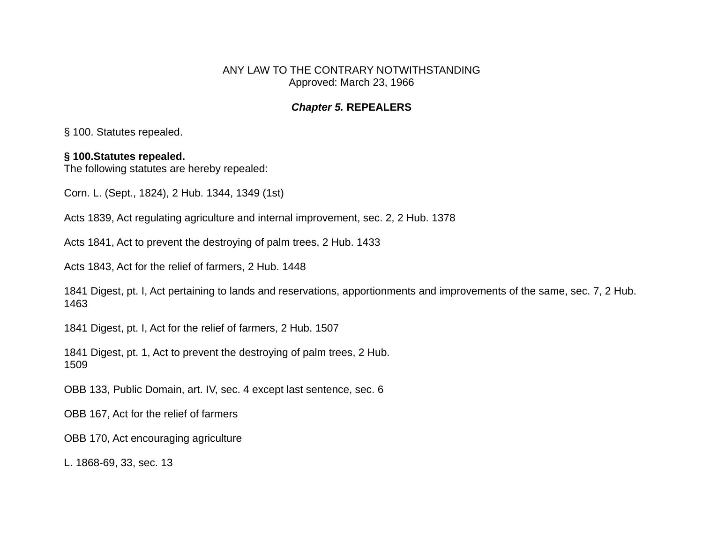ANY LAW TO THE CONTRARY NOTWITHSTANDING Approved: March 23, 1966

#### *Chapter 5.* **REPEALERS**

§ 100. Statutes repealed.

## **§ 100.Statutes repealed.**

The following statutes are hereby repealed:

Corn. L. (Sept., 1824), 2 Hub. 1344, 1349 (1st)

Acts 1839, Act regulating agriculture and internal improvement, sec. 2, 2 Hub. 1378

Acts 1841, Act to prevent the destroying of palm trees, 2 Hub. 1433

Acts 1843, Act for the relief of farmers, 2 Hub. 1448

1841 Digest, pt. I, Act pertaining to lands and reservations, apportionments and improvements of the same, sec. 7, 2 Hub. 1463

1841 Digest, pt. I, Act for the relief of farmers, 2 Hub. 1507

1841 Digest, pt. 1, Act to prevent the destroying of palm trees, 2 Hub. 1509

OBB 133, Public Domain, art. IV, sec. 4 except last sentence, sec. 6

OBB 167, Act for the relief of farmers

OBB 170, Act encouraging agriculture

L. 1868-69, 33, sec. 13